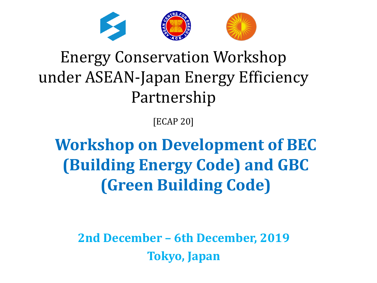

### Energy Conservation Workshop under ASEAN-Japan Energy Efficiency Partnership

[ECAP 20]

**Workshop on Development of BEC (Building Energy Code) and GBC (Green Building Code)** 

**2nd December – 6th December, 2019 Tokyo, Japan**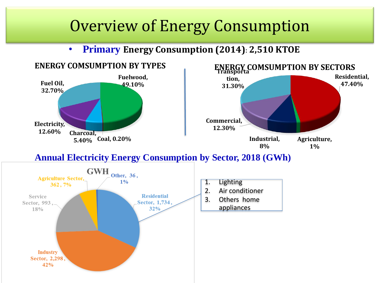#### Overview of Energy Consumption

• **Primary Energy Consumption (2014): 2,510 KTOE**



#### **Annual Electricity Energy Consumption by Sector, 2018 (GWh)**

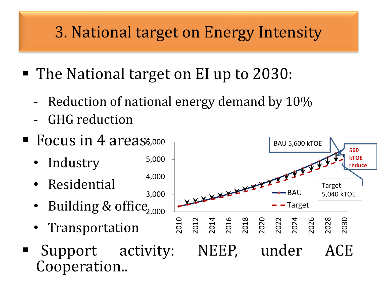### 3. National target on Energy Intensity

- The National target on EI up to 2030:
	- Reduction of national energy demand by 10%
	- GHG reduction
- **Focus in 4 areass,000** 
	- Industry
	- Residential
	- · Building & office<sub>2,000</sub>
	- Transportation
- Cooperation..

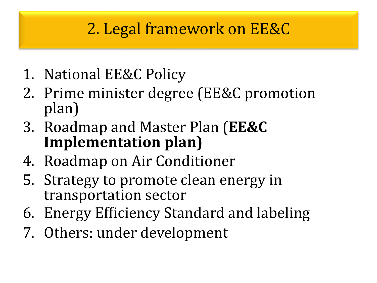### 2. Legal framework on EE&C

- 1. National EE&C Policy
- 2. Prime minister degree (EE&C promotion plan)
- 3. Roadmap and Master Plan (**EE&C Implementation plan)**
- 4. Roadmap on Air Conditioner
- 5. Strategy to promote clean energy in transportation sector
- 6. Energy Efficiency Standard and labeling
- 7. Others: under development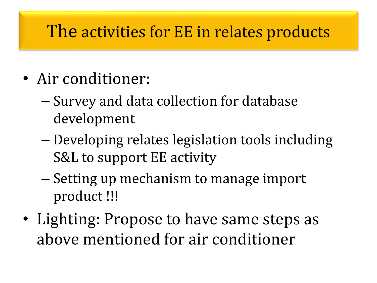#### The activities for EE in relates products

- Air conditioner:
	- Survey and data collection for database development
	- Developing relates legislation tools including S&L to support EE activity
	- Setting up mechanism to manage import product !!!
- Lighting: Propose to have same steps as above mentioned for air conditioner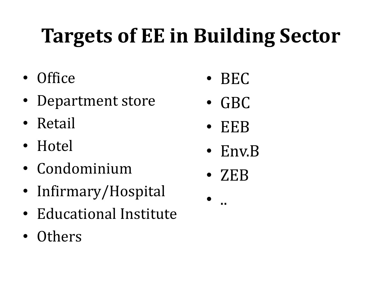# **Targets of EE in Building Sector**

- Office
- Department store
- Retail
- Hotel
- Condominium
- Infirmary/Hospital
- Educational Institute
- Others
- BEC
- GBC
- EEB
- Env.B
- ZEB
- ..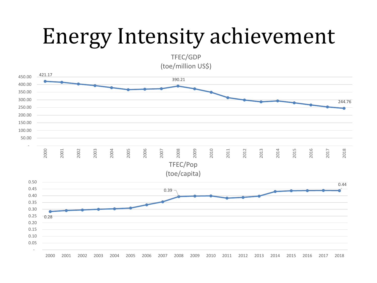## Energy Intensity achievement

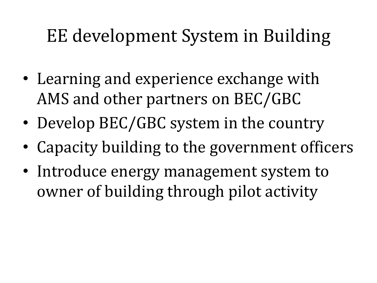### EE development System in Building

- Learning and experience exchange with AMS and other partners on BEC/GBC
- Develop BEC/GBC system in the country
- Capacity building to the government officers
- Introduce energy management system to owner of building through pilot activity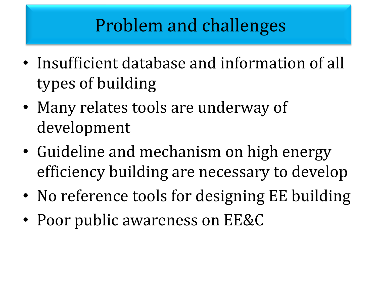### Problem and challenges

- Insufficient database and information of all types of building
- Many relates tools are underway of development
- Guideline and mechanism on high energy efficiency building are necessary to develop
- No reference tools for designing EE building
- Poor public awareness on EE&C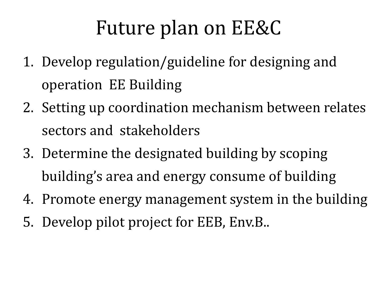### Future plan on EE&C

- 1. Develop regulation/guideline for designing and operation EE Building
- 2. Setting up coordination mechanism between relates sectors and stakeholders
- 3. Determine the designated building by scoping building's area and energy consume of building
- 4. Promote energy management system in the building
- 5. Develop pilot project for EEB, Env.B..